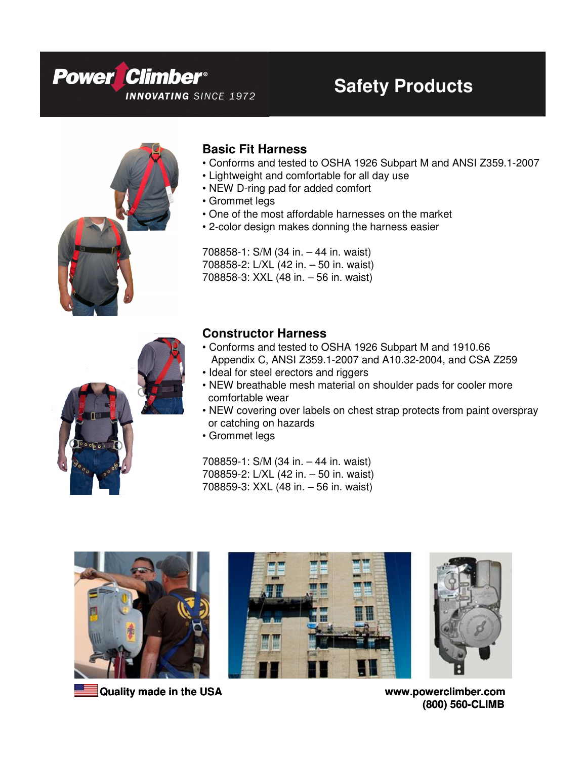



### **Basic Fit Harness**

- Conforms and tested to OSHA 1926 Subpart M and ANSI Z359.1-2007
- Lightweight and comfortable for all day use
- NEW D-ring pad for added comfort
- Grommet legs
- One of the most affordable harnesses on the market
- 2-color design makes donning the harness easier

708858-1: S/M (34 in. – 44 in. waist) 708858-2: L/XL (42 in. – 50 in. waist) 708858-3: XXL (48 in. – 56 in. waist)



### **Constructor Harness**

- Conforms and tested to OSHA 1926 Subpart M and 1910.66 Appendix C, ANSI Z359.1-2007 and A10.32-2004, and CSA Z259
- Ideal for steel erectors and riggers
- NEW breathable mesh material on shoulder pads for cooler more comfortable wear
- NEW covering over labels on chest strap protects from paint overspray or catching on hazards
- Grommet legs

708859-1: S/M (34 in. – 44 in. waist) 708859-2: L/XL (42 in. – 50 in. waist) 708859-3: XXL (48 in. – 56 in. waist)









**(800) 560-CLIMB**